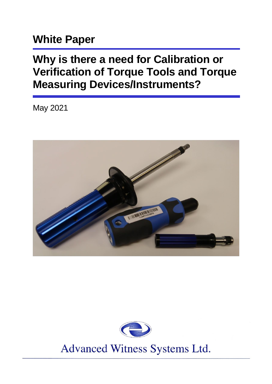# **White Paper**

# **Why is there a need for Calibration or Verification of Torque Tools and Torque Measuring Devices/Instruments?**

May 2021





Advanced Witness Systems Ltd.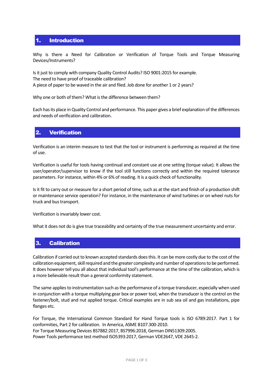### 1. Introduction

Why is there a Need for Calibration or Verification of Torque Tools and Torque Measuring Devices/Instruments?

Is it just to comply with company Quality Control Audits? ISO 9001:2015 for example. The need to have proof of traceable calibration? A piece of paper to be waved in the air and filed. Job done for another 1 or 2 years?

Why one or both of them? What is the difference between them?

Each has its place in Quality Control and performance. This paper gives a brief explanation of the differences and needs of verification and calibration.

#### 2. Verification

Verification is an interim measure to test that the tool or instrument is performing as required at the time of use.

Verification is useful for tools having continual and constant use at one setting (torque value). It allows the user/operator/supervisor to know if the tool still functions correctly and within the required tolerance parameters. For instance, within 4% or 6% of reading. It is a quick check of functionality.

Is it fit to carry out or measure for a short period of time, such as at the start and finish of a production shift or maintenance service operation? For instance, in the maintenance of wind turbines or on wheel nuts for truck and bus transport.

Verification is invariably lower cost.

What it does not do is give true traceability and certainty of the true measurement uncertainty and error.

#### 3. Calibration

Calibration if carried out to known accepted standards does this. It can be more costly due to the cost of the calibration equipment, skill required and the greater complexity and number of operations to be performed. It does however tell you all about that individual tool's performance at the time of the calibration, which is a more believable result than a general conformity statement.

The same applies to instrumentation such asthe performance of a torque transducer, especially when used in conjunction with a torque multiplying gear box or power tool, when the transducer is the control on the fastener/bolt, stud and nut applied torque. Critical examples are in sub sea oil and gas installations, pipe flanges etc.

For Torque, the International Common Standard for Hand Torque tools is ISO 6789:2017. Part 1 for conformities, Part 2 for calibration. In America, ASME B107.300-2010. For Torque Measuring Devices BS7882:2017, BS7996:2018, German DIN51309:2005. Power Tools performance test method ISO5393:2017, German VDE2647, VDE 2645-2.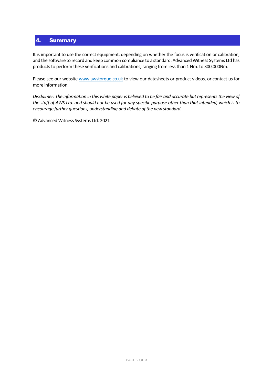### 4. Summary

It is important to use the correct equipment, depending on whether the focus is verification or calibration, and the software to record and keep common compliance to a standard. Advanced Witness Systems Ltd has products to perform these verifications and calibrations, ranging from less than 1 Nm. to 300,000Nm.

Please see our websit[e www.awstorque.co.uk](http://awstorque.co.uk/) to view our datasheets or product videos, or contact us for more information.

*Disclaimer: The information in this white paper is believed to be fair and accurate but represents the view of the staff of AWS Ltd. and should not be used for any specific purpose other than that intended, which is to encourage further questions, understanding and debate of the new standard.*

© Advanced Witness Systems Ltd. 2021